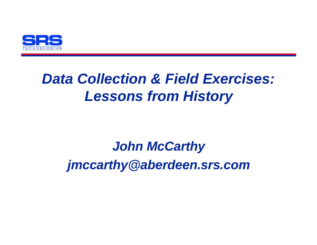

## *Data Collection & Field Exercises: Lessons from History*

# *John McCarthy jmccarthy@aberdeen.srs.com*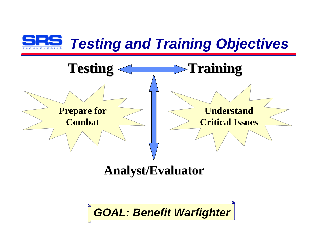



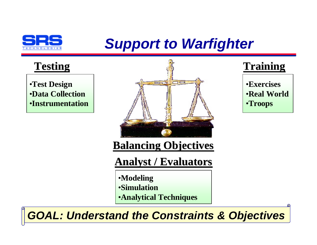

# *Support to Warfighter*

•**Test Design** •**Data Collection** •**Instrumentation**



•**Exercises** •**Real World** •**Troops**

**Balancing Objectives**

**Analyst / Evaluators**

- •**Modeling** •**Simulation**
- •**Analytical Techniques**

*GOAL: Understand the Constraints & Objectives*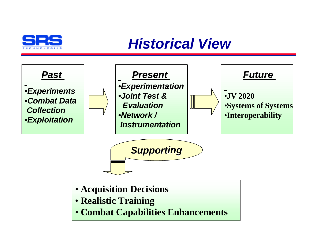

### *Historical View*



• **Combat Capabilities Enhancements**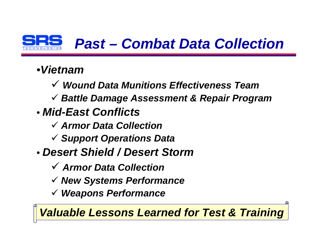

# *Past – Combat Data Collection*

### •*Vietnam*

- ¸ *Wound Data Munitions Effectiveness Team*
- ¸ *Battle Damage Assessment & Repair Program*
- *Mid-East Conflicts*
	- ¸ *Armor Data Collection*
	- ¸ *Support Operations Data*
- *Desert Shield / Desert Storm*
	- ¸ *Armor Data Collection*
	- ¸ *New Systems Performance*
	- ¸ *Weapons Performance*

*Valuable Lessons Learned for Test & Training*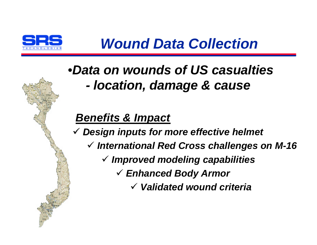

### •*Data on wounds of US casualties - location, damage & cause*

### *Benefits & Impact*

¸ *Design inputs for more effective helmet*

- ¸ *International Red Cross challenges on M-16*
	- ¸ *Improved modeling capabilities*
		- ¸ *Enhanced Body Armor*
			- ¸ *Validated wound criteria*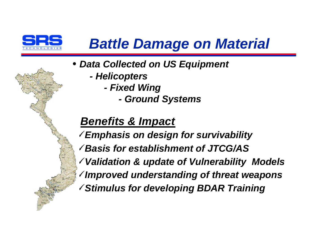

# *Battle Damage on Material*

- *Data Collected on US Equipment*
	- *Helicopters*
		- *Fixed Wing*
			- *Ground Systems*

### *Benefits & Impact*

- ¸*Emphasis on design for survivability*
- ¸*Basis for establishment of JTCG/AS*
- ¸*Validation & update of Vulnerability Models*
- ¸*Improved understanding of threat weapons*
- ¸*Stimulus for developing BDAR Training*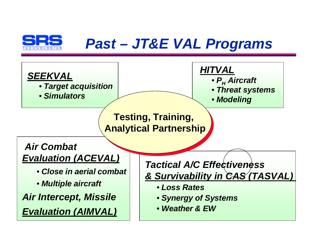

## *Past – JT&E VAL Programs*



- • *Target acquisition*
- • *Simulators*



- • *P<sup>H</sup> Aircraft*
- • *Threat systems*
- • *Modeling*

**Testing, Training, Analytical Partnership**

*Air Combat Evaluation (ACEVAL)*

- • *Close in aerial combat*
- • *Multiple aircraft*

*Air Intercept, Missile Evaluation (AIMVAL)*

*Tactical A/C Effectiveness & Survivability in CAS (TASVAL)* 

- • *Loss Rates*
- • *Synergy of Systems*
- • *Weather & EW*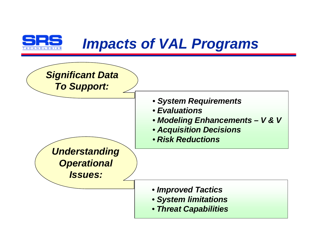

### *Impacts of VAL Programs*

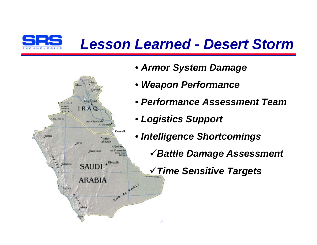

## *Lesson Learned - Desert Storm*



- • *Armor System Damage*
- • *Weapon Performance*
- • *Performance Assessment Team*
- • *Logistics Support*
- • *Intelligence Shortcomings*
	- ¸*Battle Damage Assessment*

¸*Time Sensitive Targets*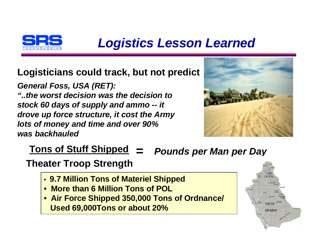

### *Logistics Lesson Learned*

### **Logisticians could track, but not predict**

*General Foss, USA (RET): "..the worst decision was the decision to stock 60 days of supply and ammo -- it drove up force structure, it cost the Army lots of money and time and over 90% was backhauled*



### **Tons of Stuff Shipped** *= Pounds per Man per Day*

### **Theater Troop Strength**

- • **9.7 Million Tons of Materiel Shipped**
- • **More than 6 Million Tons of POL**
- • **Air Force Shipped 350,000 Tons of Ordnance/ Used 69,000Tons or about 20%**

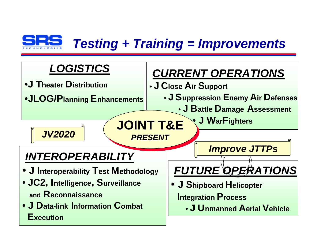

### *Testing + Training = Improvements*

**JOINT T&E**

*PRESENT*

### *LOGISTICS*

- •**J Theater Distribution**
- •**JLOG/Planning Enhancements**

### *CURRENT OPERATIONS*

- **J Close Air Support**
	- **J Suppression Enemy Air Defenses**
		- **J Battle Damage Assessment**

• **J WarFighters**

*JV2020*

### *INTEROPERABILITY*

- **J Interoperability Test Methodology**
- • **JC2, Intelligence, Surveillance and Reconnaissance**
- • **J Data-link Information Combat Execution**

*Improve JTTPs*

# *FUTURE OPERATIONS*

- **J Shipboard Helicopter Integration Process**
	- **J Unmanned Aerial Vehicle**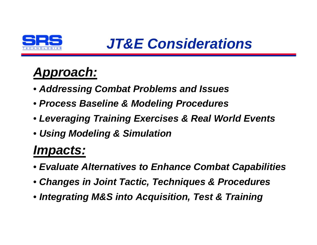

### *Approach:*

- • *Addressing Combat Problems and Issues*
- • *Process Baseline & Modeling Procedures*
- • *Leveraging Training Exercises & Real World Events*
- • *Using Modeling & Simulation*

### *Impacts:*

- • *Evaluate Alternatives to Enhance Combat Capabilities*
- • *Changes in Joint Tactic, Techniques & Procedures*
- • *Integrating M&S into Acquisition, Test & Training*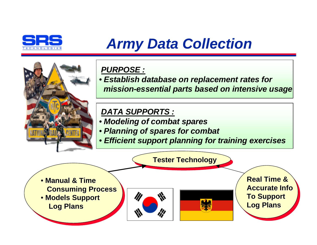

# *Army Data Collection*



#### *PURPOSE :*

• *Establish database on replacement rates for mission-essential parts based on intensive usage*

#### *DATA SUPPORTS :*

- • *Modeling of combat spares*
- • *Planning of spares for combat*
- • *Efficient support planning for training exercises*

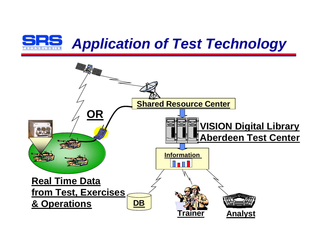

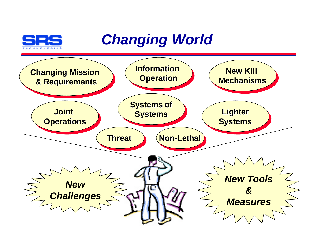

### *Changing World*